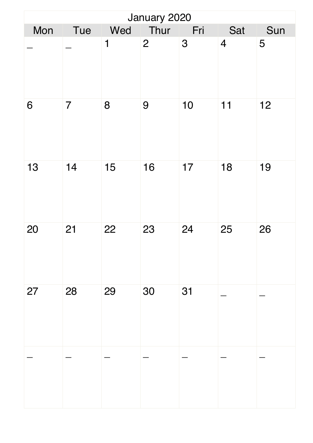| January 2020 |                |             |                |     |                |     |  |  |
|--------------|----------------|-------------|----------------|-----|----------------|-----|--|--|
| Mon          | Tue            | Wed         | Thur           | Fri | Sat            | Sun |  |  |
|              |                | $\mathbf 1$ | $\overline{2}$ | 3   | $\overline{4}$ | 5   |  |  |
| 6            | $\overline{7}$ | 8           | 9              | 10  | 11             | 12  |  |  |
| 13           | 14             | 15          | 16             | 17  | 18             | 19  |  |  |
| 20           | 21             | 22          | 23             | 24  | 25             | 26  |  |  |
| 27           | 28             | 29          | 30             | 31  |                |     |  |  |
|              |                |             |                |     |                |     |  |  |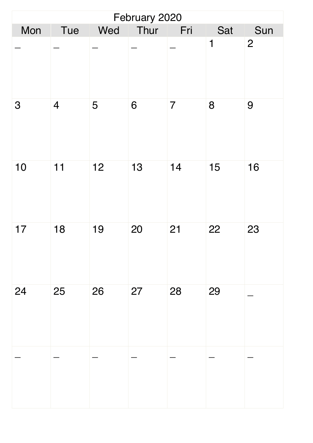| February 2020 |                |     |      |                |             |                |  |  |
|---------------|----------------|-----|------|----------------|-------------|----------------|--|--|
| Mon           | Tue            | Wed | Thur | Fri            | Sat         | Sun            |  |  |
|               |                |     |      |                | $\mathbf 1$ | $\overline{2}$ |  |  |
| 3             | $\overline{4}$ | 5   | 6    | $\overline{7}$ | 8           | 9              |  |  |
| 10            | 11             | 12  | 13   | 14             | 15          | 16             |  |  |
| 17            | 18             | 19  | 20   | 21             | 22          | 23             |  |  |
| 24            | 25             | 26  | 27   | 28             | 29          |                |  |  |
|               |                |     |      |                |             |                |  |  |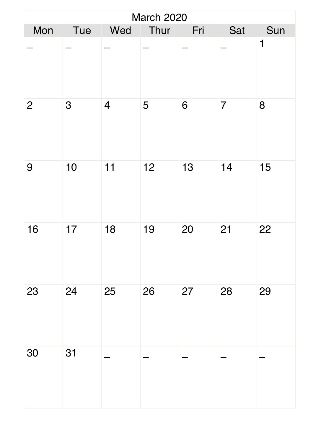| <b>March 2020</b> |     |                |      |     |                |     |  |  |
|-------------------|-----|----------------|------|-----|----------------|-----|--|--|
| Mon               | Tue | Wed            | Thur | Fri | Sat            | Sun |  |  |
|                   |     |                |      |     |                | 1   |  |  |
| $\overline{2}$    | 3   | $\overline{4}$ | 5    | 6   | $\overline{7}$ | 8   |  |  |
| 9                 | 10  | 11             | 12   | 13  | 14             | 15  |  |  |
| 16                | 17  | 18             | 19   | 20  | 21             | 22  |  |  |
| 23                | 24  | 25             | 26   | 27  | 28             | 29  |  |  |
| 30                | 31  |                |      |     |                |     |  |  |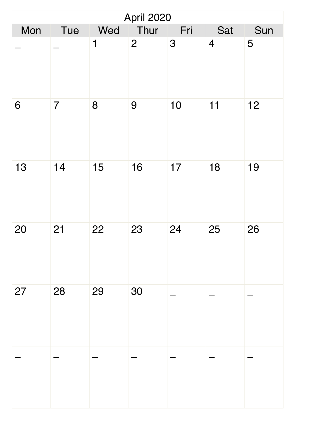| <b>April 2020</b> |                |             |                |     |                |     |  |  |
|-------------------|----------------|-------------|----------------|-----|----------------|-----|--|--|
| Mon               | Tue            | Wed         | Thur           | Fri | Sat            | Sun |  |  |
|                   |                | $\mathbf 1$ | $\overline{2}$ | 3   | $\overline{4}$ | 5   |  |  |
| 6                 | $\overline{7}$ | 8           | 9              | 10  | 11             | 12  |  |  |
| 13                | 14             | 15          | 16             | 17  | 18             | 19  |  |  |
| 20                | 21             | 22          | 23             | 24  | 25             | 26  |  |  |
| 27                | 28             | 29          | 30             |     |                |     |  |  |
|                   |                |             |                |     |                |     |  |  |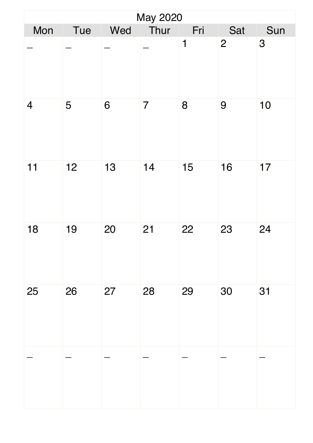| <b>May 2020</b> |     |     |                |             |                |     |  |  |
|-----------------|-----|-----|----------------|-------------|----------------|-----|--|--|
| Mon             | Tue | Wed | Thur           | Fri         | Sat            | Sun |  |  |
|                 |     |     |                | $\mathbf 1$ | $\overline{2}$ | 3   |  |  |
| $\overline{4}$  | 5   | 6   | $\overline{7}$ | 8           | 9              | 10  |  |  |
| 11              | 12  | 13  | 14             | 15          | 16             | 17  |  |  |
| 18              | 19  | 20  | 21             | 22          | 23             | 24  |  |  |
| 25              | 26  | 27  | 28             | 29          | 30             | 31  |  |  |
|                 |     |     |                |             |                |     |  |  |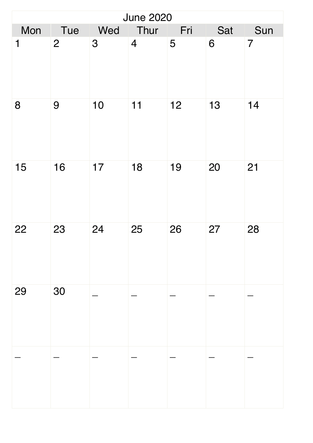| <b>June 2020</b> |                |     |                |     |     |                |  |  |
|------------------|----------------|-----|----------------|-----|-----|----------------|--|--|
| Mon              | Tue            | Wed | Thur           | Fri | Sat | Sun            |  |  |
| 1                | $\overline{2}$ | 3   | $\overline{4}$ | 5   | 6   | $\overline{7}$ |  |  |
| 8                | 9              | 10  | 11             | 12  | 13  | 14             |  |  |
| 15               | 16             | 17  | 18             | 19  | 20  | 21             |  |  |
| 22               | 23             | 24  | 25             | 26  | 27  | 28             |  |  |
| 29               | 30             |     |                |     |     |                |  |  |
|                  |                |     |                |     |     |                |  |  |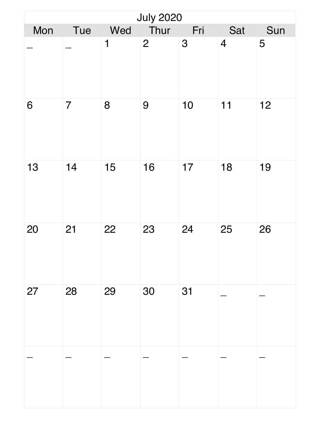| <b>July 2020</b> |                |             |                |     |                |     |  |  |
|------------------|----------------|-------------|----------------|-----|----------------|-----|--|--|
| Mon              | Tue            | Wed         | Thur           | Fri | Sat            | Sun |  |  |
|                  |                | $\mathbf 1$ | $\overline{2}$ | 3   | $\overline{4}$ | 5   |  |  |
| 6                | $\overline{7}$ | 8           | 9              | 10  | 11             | 12  |  |  |
| 13               | 14             | 15          | 16             | 17  | 18             | 19  |  |  |
| 20               | 21             | 22          | 23             | 24  | 25             | 26  |  |  |
| 27               | 28             | 29          | 30             | 31  |                |     |  |  |
|                  |                |             |                |     |                |     |  |  |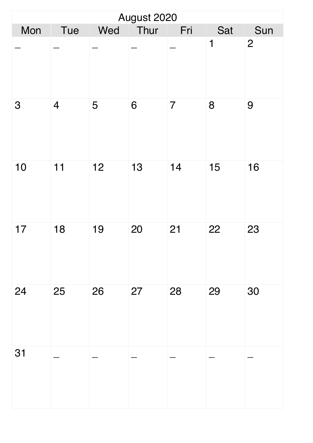| August 2020 |                |     |      |                |             |                |  |  |
|-------------|----------------|-----|------|----------------|-------------|----------------|--|--|
| Mon         | Tue            | Wed | Thur | Fri            | Sat         | Sun            |  |  |
|             |                |     |      |                | $\mathbf 1$ | $\overline{2}$ |  |  |
| 3           | $\overline{4}$ | 5   | 6    | $\overline{7}$ | 8           | 9              |  |  |
| 10          | 11             | 12  | 13   | 14             | 15          | 16             |  |  |
| 17          | 18             | 19  | 20   | 21             | 22          | 23             |  |  |
| 24          | 25             | 26  | 27   | 28             | 29          | 30             |  |  |
| 31          |                |     |      |                |             |                |  |  |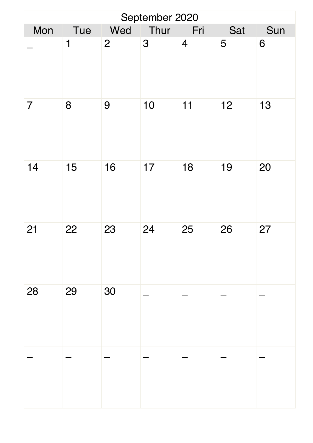| September 2020 |     |              |      |                |     |     |  |  |
|----------------|-----|--------------|------|----------------|-----|-----|--|--|
| Mon            | Tue | Wed          | Thur | Fri            | Sat | Sun |  |  |
|                | 1   | $\mathbf{2}$ | 3    | $\overline{4}$ | 5   | 6   |  |  |
| $\overline{7}$ | 8   | 9            | 10   | 11             | 12  | 13  |  |  |
| 14             | 15  | 16           | 17   | 18             | 19  | 20  |  |  |
| 21             | 22  | 23           | 24   | 25             | 26  | 27  |  |  |
| 28             | 29  | 30           |      |                |     |     |  |  |
|                |     |              |      |                |     |     |  |  |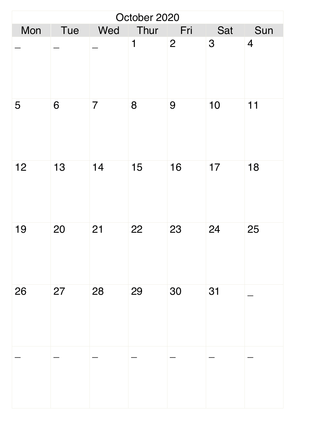| October 2020 |     |                |             |                |     |                |  |  |
|--------------|-----|----------------|-------------|----------------|-----|----------------|--|--|
| Mon          | Tue | Wed            | Thur        | Fri            | Sat | Sun            |  |  |
|              |     |                | $\mathbf 1$ | $\overline{2}$ | 3   | $\overline{4}$ |  |  |
| 5            | 6   | $\overline{7}$ | 8           | 9              | 10  | 11             |  |  |
| 12           | 13  | 14             | 15          | 16             | 17  | 18             |  |  |
| 19           | 20  | 21             | 22          | 23             | 24  | 25             |  |  |
| 26           | 27  | 28             | 29          | 30             | 31  |                |  |  |
|              |     |                |             |                |     |                |  |  |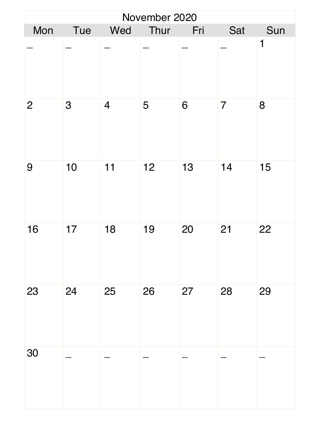| November 2020  |     |                |      |     |                |     |  |  |
|----------------|-----|----------------|------|-----|----------------|-----|--|--|
| Mon            | Tue | Wed            | Thur | Fri | Sat            | Sun |  |  |
|                |     |                |      |     |                | 1   |  |  |
| $\overline{2}$ | 3   | $\overline{4}$ | 5    | 6   | $\overline{7}$ | 8   |  |  |
| 9              | 10  | 11             | 12   | 13  | 14             | 15  |  |  |
| 16             | 17  | 18             | 19   | 20  | 21             | 22  |  |  |
| 23             | 24  | 25             | 26   | 27  | 28             | 29  |  |  |
| 30             |     |                |      |     |                |     |  |  |